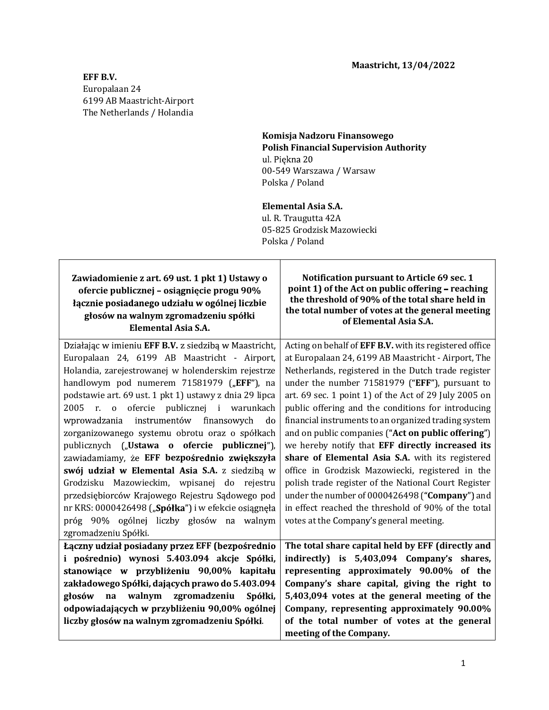## EFF B.V. Europalaan 24 6199 AB Maastricht-Airport The Netherlands / Holandia

## Komisja Nadzoru Finansowego Polish Financial Supervision Authority ul. Piekna 20 00-549 Warszawa / Warsaw Polska / Poland

## Elemental Asia S.A.

 ul. R. Traugutta 42A 05-825 Grodzisk Mazowiecki Polska / Poland

Zawiadomienie z art. 69 ust. 1 pkt 1) Ustawy o ofercie publicznej – osiągnięcie progu 90% głosów na walnym zgromadzeniu spółki Elemental Asia S.A.

 $\mathbf{q}$  the threshold of 90% of the total share held in Notification pursuant to Article 69 sec. 1 point 1) of the Act on public offering  $-$  reaching the total number of votes at the general meeting of Elemental Asia S.A.

Acting on behalf of EFF B.V. with its registered office Działając w imieniu EFF B.V. z siedzibą w Maastricht, Europalaan 24, 6199 AB Maastricht - Airport, Holandia, zarejestrowanej w holenderskim rejestrze at Europalaan 24, 6199 AB Maastricht - Airport, The Netherlands, registered in the Dutch trade register handlowym pod numerem  $71581979$  ("EFF"), na under the number  $71581979$  ("EFF"), pursuant to podstawie art. 69 ust. 1 pkt 1) ustawy z dnia 29 lipca art. 69 sec. 1 point 1) of the Act of 29 July 2005 on 2005 r. o ofercie publicznej i warunkach public offering and the conditions for introducing wprowadzania instrumentów finansowych financial instruments to an organized trading system do zorganizowanego systemu obrotu oraz o spółkach and on public companies (" $Act$  on public offering") publicznych ("Ustawa o ofercie publicznej"), we hereby notify that EFF directly increased its EFF bezpośrednio zwiększyła | share of Elemental Asia S.A. with its registered | swój udział w Elemental Asia S.A. z siedziba w office in Grodzisk Mazowiecki, registered in the Grodzisku Mazowieckim, wpisanej do rejestru polish trade register of the National Court Register under the number of 0000426498 ("Company") and przedsiębiorców Krajowego Rejestru Sądowego pod nr KRS: 0000426498 ("Spółka") i w efekcie osiągnęła in effect reached the threshold of 90% of the total próg 90% ogólnej liczby głosów na walnym votes at the Company's general meeting. . Laczny udział posiadany przez EFF (bezpośrednio | The total share capital held by EFF (directly and Eaczny udział posiadany przez EFF (bezpośrednio) The total share capital held by EFF (directly and<br>
i pośrednio) wynosi 5.403.094 akcje Spółki, indirectly) is 5,403,094 Company's shares,<br>
stanowiące w przybliżeniu 90,00% k i pośrednio) wynosi 5.403.094 akcje Spółki, indirectly) is  $5,403,094$  Company's shares, stanowiące w przybliżeniu 90,00% kapitału representing approximately 90.00% of the zakładowego Spółki, dających prawo do 5.403.094 Company's share capital, giving the right to głosów na walnym zgromadzeniu Spółki,<br>odpowiadających-w-przybliżeniu-90,00%-ogólnej 5,403,094 votes at the general meeting of the Company, representing approximately 90.00% of the total number of votes at the general meeting of the Company.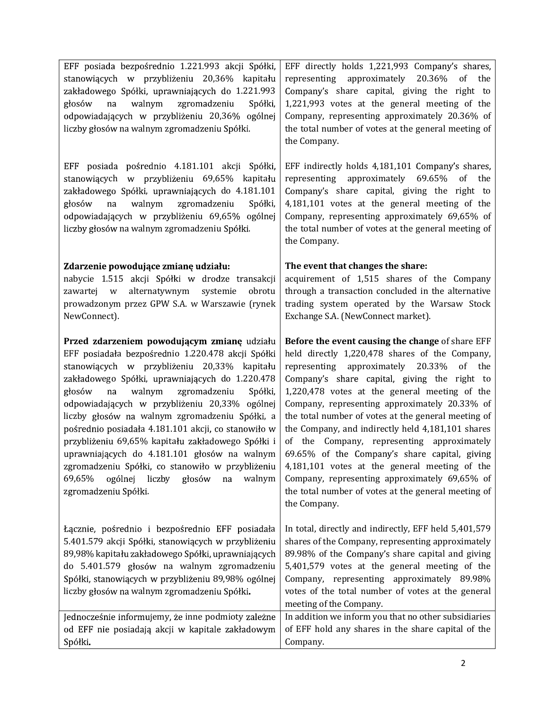| EFF posiada bezpośrednio 1.221.993 akcji Spółki,<br>EFF directly holds 1,221,993 Company's shares,<br>stanowiących w przybliżeniu 20,36% kapitału<br>representing approximately 20.36% of the<br>zakładowego Spółki, uprawniających do 1.221.993<br>Company's share capital, giving the right to<br>1,221,993 votes at the general meeting of the<br>głosów na<br>walnym<br>zgromadzeniu<br>Spółki,<br>odpowiadających w przybliżeniu 20,36% ogólnej<br>Company, representing approximately 20.36% of<br>the total number of votes at the general meeting of<br>liczby głosów na walnym zgromadzeniu Spółki.<br>the Company.<br>EFF posiada pośrednio 4.181.101 akcji Spółki,<br>EFF indirectly holds 4,181,101 Company's shares,<br>stanowiących w przybliżeniu 69,65% kapitału<br>representing approximately 69.65% of the<br>zakładowego Spółki, uprawniających do 4.181.101<br>Company's share capital, giving the right to<br>walnym<br>zgromadzeniu<br>4,181,101 votes at the general meeting of the<br>głosów na<br>Spółki,<br>odpowiadających w przybliżeniu 69,65% ogólnej<br>Company, representing approximately 69,65% of<br>liczby głosów na walnym zgromadzeniu Spółki.<br>the total number of votes at the general meeting of<br>the Company.<br>Zdarzenie powodujące zmianę udziału:<br>The event that changes the share:<br>acquirement of 1,515 shares of the Company<br>nabycie 1.515 akcji Spółki w drodze transakcji<br>alternatywnym systemie obrotu<br>through a transaction concluded in the alternative<br>zawartej w<br>prowadzonym przez GPW S.A. w Warszawie (rynek<br>trading system operated by the Warsaw Stock<br>NewConnect).<br>Exchange S.A. (NewConnect market).<br>Przed zdarzeniem powodującym zmianę udziału<br>Before the event causing the change of share EFF<br>EFF posiadała bezpośrednio 1.220.478 akcji Spółki<br>held directly 1,220,478 shares of the Company,<br>stanowiących w przybliżeniu 20,33% kapitału<br>representing approximately 20.33% of the<br>zakładowego Spółki, uprawniających do 1.220.478<br>Company's share capital, giving the right to<br>głosów<br>walnym<br>1,220,478 votes at the general meeting of the<br>zgromadzeniu<br>Spółki,<br>na<br>odpowiadających w przybliżeniu 20,33% ogólnej<br>Company, representing approximately 20.33% of<br>the total number of votes at the general meeting of<br>liczby głosów na walnym zgromadzeniu Spółki, a<br>pośrednio posiadała 4.181.101 akcji, co stanowiło w<br>the Company, and indirectly held 4,181,101 shares<br>of the Company, representing approximately<br>przybliżeniu 69,65% kapitału zakładowego Spółki i<br>69.65% of the Company's share capital, giving<br>uprawniających do 4.181.101 głosów na walnym<br>zgromadzeniu Spółki, co stanowiło w przybliżeniu<br>4,181,101 votes at the general meeting of the<br>69,65% ogólnej liczby głosów na walnym<br>Company, representing approximately 69,65% of<br>the total number of votes at the general meeting of<br>zgromadzeniu Spółki.<br>the Company.<br>In total, directly and indirectly, EFF held 5,401,579<br>Łącznie, pośrednio i bezpośrednio EFF posiadała<br>5.401.579 akcji Spółki, stanowiących w przybliżeniu<br>shares of the Company, representing approximately<br>89,98% kapitału zakładowego Spółki, uprawniających<br>89.98% of the Company's share capital and giving<br>do 5.401.579 głosów na walnym zgromadzeniu<br>5,401,579 votes at the general meeting of the<br>Spółki, stanowiących w przybliżeniu 89,98% ogólnej<br>Company, representing approximately 89.98%<br>liczby głosów na walnym zgromadzeniu Spółki.<br>votes of the total number of votes at the general<br>meeting of the Company.<br>In addition we inform you that no other subsidiaries<br>Jednocześnie informujemy, że inne podmioty zależne<br>of EFF hold any shares in the share capital of the<br>od EFF nie posiadają akcji w kapitale zakładowym<br>Spółki.<br>Company. |  |
|-----------------------------------------------------------------------------------------------------------------------------------------------------------------------------------------------------------------------------------------------------------------------------------------------------------------------------------------------------------------------------------------------------------------------------------------------------------------------------------------------------------------------------------------------------------------------------------------------------------------------------------------------------------------------------------------------------------------------------------------------------------------------------------------------------------------------------------------------------------------------------------------------------------------------------------------------------------------------------------------------------------------------------------------------------------------------------------------------------------------------------------------------------------------------------------------------------------------------------------------------------------------------------------------------------------------------------------------------------------------------------------------------------------------------------------------------------------------------------------------------------------------------------------------------------------------------------------------------------------------------------------------------------------------------------------------------------------------------------------------------------------------------------------------------------------------------------------------------------------------------------------------------------------------------------------------------------------------------------------------------------------------------------------------------------------------------------------------------------------------------------------------------------------------------------------------------------------------------------------------------------------------------------------------------------------------------------------------------------------------------------------------------------------------------------------------------------------------------------------------------------------------------------------------------------------------------------------------------------------------------------------------------------------------------------------------------------------------------------------------------------------------------------------------------------------------------------------------------------------------------------------------------------------------------------------------------------------------------------------------------------------------------------------------------------------------------------------------------------------------------------------------------------------------------------------------------------------------------------------------------------------------------------------------------------------------------------------------------------------------------------------------------------------------------------------------------------------------------------------------------------------------------------------------------------------------------------------------------------------------------------------------------------------------------------------------------------------------------------------------------------------------------------------------------------------------------------------------------------------------------------------------------------------------------------------------------------------------|--|
|                                                                                                                                                                                                                                                                                                                                                                                                                                                                                                                                                                                                                                                                                                                                                                                                                                                                                                                                                                                                                                                                                                                                                                                                                                                                                                                                                                                                                                                                                                                                                                                                                                                                                                                                                                                                                                                                                                                                                                                                                                                                                                                                                                                                                                                                                                                                                                                                                                                                                                                                                                                                                                                                                                                                                                                                                                                                                                                                                                                                                                                                                                                                                                                                                                                                                                                                                                                                                                                                                                                                                                                                                                                                                                                                                                                                                                                                                                                                                                 |  |
|                                                                                                                                                                                                                                                                                                                                                                                                                                                                                                                                                                                                                                                                                                                                                                                                                                                                                                                                                                                                                                                                                                                                                                                                                                                                                                                                                                                                                                                                                                                                                                                                                                                                                                                                                                                                                                                                                                                                                                                                                                                                                                                                                                                                                                                                                                                                                                                                                                                                                                                                                                                                                                                                                                                                                                                                                                                                                                                                                                                                                                                                                                                                                                                                                                                                                                                                                                                                                                                                                                                                                                                                                                                                                                                                                                                                                                                                                                                                                                 |  |
|                                                                                                                                                                                                                                                                                                                                                                                                                                                                                                                                                                                                                                                                                                                                                                                                                                                                                                                                                                                                                                                                                                                                                                                                                                                                                                                                                                                                                                                                                                                                                                                                                                                                                                                                                                                                                                                                                                                                                                                                                                                                                                                                                                                                                                                                                                                                                                                                                                                                                                                                                                                                                                                                                                                                                                                                                                                                                                                                                                                                                                                                                                                                                                                                                                                                                                                                                                                                                                                                                                                                                                                                                                                                                                                                                                                                                                                                                                                                                                 |  |
|                                                                                                                                                                                                                                                                                                                                                                                                                                                                                                                                                                                                                                                                                                                                                                                                                                                                                                                                                                                                                                                                                                                                                                                                                                                                                                                                                                                                                                                                                                                                                                                                                                                                                                                                                                                                                                                                                                                                                                                                                                                                                                                                                                                                                                                                                                                                                                                                                                                                                                                                                                                                                                                                                                                                                                                                                                                                                                                                                                                                                                                                                                                                                                                                                                                                                                                                                                                                                                                                                                                                                                                                                                                                                                                                                                                                                                                                                                                                                                 |  |
|                                                                                                                                                                                                                                                                                                                                                                                                                                                                                                                                                                                                                                                                                                                                                                                                                                                                                                                                                                                                                                                                                                                                                                                                                                                                                                                                                                                                                                                                                                                                                                                                                                                                                                                                                                                                                                                                                                                                                                                                                                                                                                                                                                                                                                                                                                                                                                                                                                                                                                                                                                                                                                                                                                                                                                                                                                                                                                                                                                                                                                                                                                                                                                                                                                                                                                                                                                                                                                                                                                                                                                                                                                                                                                                                                                                                                                                                                                                                                                 |  |
|                                                                                                                                                                                                                                                                                                                                                                                                                                                                                                                                                                                                                                                                                                                                                                                                                                                                                                                                                                                                                                                                                                                                                                                                                                                                                                                                                                                                                                                                                                                                                                                                                                                                                                                                                                                                                                                                                                                                                                                                                                                                                                                                                                                                                                                                                                                                                                                                                                                                                                                                                                                                                                                                                                                                                                                                                                                                                                                                                                                                                                                                                                                                                                                                                                                                                                                                                                                                                                                                                                                                                                                                                                                                                                                                                                                                                                                                                                                                                                 |  |